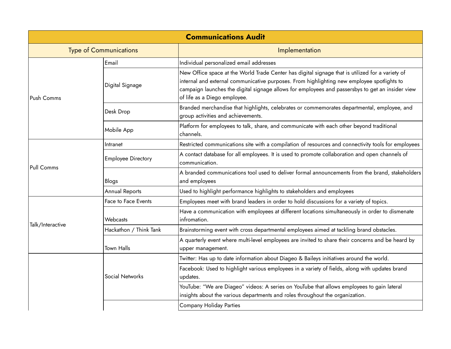| <b>Communications Audit</b>   |                           |                                                                                                                                                                                                                                                                                                                                    |  |
|-------------------------------|---------------------------|------------------------------------------------------------------------------------------------------------------------------------------------------------------------------------------------------------------------------------------------------------------------------------------------------------------------------------|--|
| <b>Type of Communications</b> |                           | Implementation                                                                                                                                                                                                                                                                                                                     |  |
| Push Comms                    | Email                     | Individual personalized email addresses                                                                                                                                                                                                                                                                                            |  |
|                               | Digital Signage           | New Office space at the World Trade Center has digital signage that is utilized for a variety of<br>internal and external communicative purposes. From highlighting new employee spotlights to<br>campaign launches the digital signage allows for employees and passersbys to get an insider view<br>of life as a Diego employee. |  |
|                               | Desk Drop                 | Branded merchandise that highlights, celebrates or commemorates departmental, employee, and<br>group activities and achievements.                                                                                                                                                                                                  |  |
|                               | Mobile App                | Platform for employees to talk, share, and communicate with each other beyond traditional<br>channels.                                                                                                                                                                                                                             |  |
|                               | Intranet                  | Restricted communications site with a compilation of resources and connectivity tools for employees                                                                                                                                                                                                                                |  |
| Pull Comms                    | <b>Employee Directory</b> | A contact database for all employees. It is used to promote collaboration and open channels of<br>communication.                                                                                                                                                                                                                   |  |
|                               | Blogs                     | A branded communications tool used to deliver formal announcements from the brand, stakeholders<br>and employees                                                                                                                                                                                                                   |  |
|                               | <b>Annual Reports</b>     | Used to highlight performance highlights to stakeholders and employees                                                                                                                                                                                                                                                             |  |
| Talk/Interactive              | Face to Face Events       | Employees meet with brand leaders in order to hold discussions for a variety of topics.                                                                                                                                                                                                                                            |  |
|                               | Webcasts                  | Have a communication with employees at different locations simultaneously in order to dismenate<br>infromation.                                                                                                                                                                                                                    |  |
|                               | Hackathon / Think Tank    | Brainstorming event with cross departmental employees aimed at tackling brand obstacles.                                                                                                                                                                                                                                           |  |
|                               | <b>Town Halls</b>         | A quarterly event where multi-level employees are invited to share their concerns and be heard by<br>upper management.                                                                                                                                                                                                             |  |
|                               |                           | Twitter: Has up to date information about Diageo & Baileys initiatives around the world.                                                                                                                                                                                                                                           |  |
|                               | Social Networks           | Facebook: Used to highlight various employees in a variety of fields, along with updates brand<br>updates.                                                                                                                                                                                                                         |  |
|                               |                           | YouTube: "We are Diageo" videos: A series on YouTube that allows employees to gain lateral<br>insights about the various departments and roles throughout the organization.                                                                                                                                                        |  |
|                               |                           | <b>Company Holiday Parties</b>                                                                                                                                                                                                                                                                                                     |  |